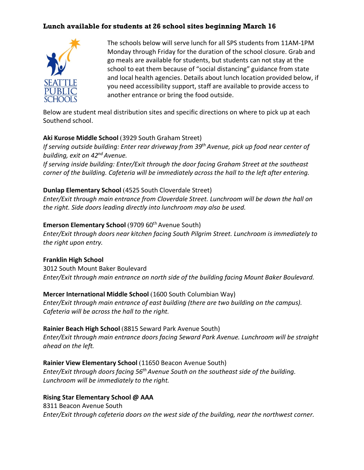## **Lunch available for students at 26 school sites beginning March 16**



The schools below will serve lunch for all SPS students from 11AM-1PM Monday through Friday for the duration of the school closure. Grab and go meals are available for students, but students can not stay at the school to eat them because of "social distancing" guidance from state and local health agencies. Details about lunch location provided below, if you need accessibility support, staff are available to provide access to another entrance or bring the food outside.

Below are student meal distribution sites and specific directions on where to pick up at each Southend school.

#### **Aki Kurose Middle School** (3929 South Graham Street)

*If serving outside building: Enter rear driveway from 39th Avenue, pick up food near center of building, exit on 42nd Avenue.*

*If serving inside building: Enter/Exit through the door facing Graham Street at the southeast corner of the building. Cafeteria will be immediately across the hall to the left after entering.*

#### **Dunlap Elementary School** (4525 South Cloverdale Street)

*Enter/Exit through main entrance from Cloverdale Street. Lunchroom will be down the hall on the right. Side doors leading directly into lunchroom may also be used.* 

### **Emerson Elementary School** (9709 60<sup>th</sup> Avenue South)

*Enter/Exit through doors near kitchen facing South Pilgrim Street. Lunchroom is immediately to the right upon entry.* 

## **Franklin High School**

3012 South Mount Baker Boulevard *Enter/Exit through main entrance on north side of the building facing Mount Baker Boulevard.* 

## **Mercer International Middle School** (1600 South Columbian Way)

*Enter/Exit through main entrance of east building (there are two building on the campus). Cafeteria will be across the hall to the right.* 

#### **Rainier Beach High School** (8815 Seward Park Avenue South)

*Enter/Exit through main entrance doors facing Seward Park Avenue. Lunchroom will be straight ahead on the left.* 

## **Rainier View Elementary School** (11650 Beacon Avenue South)

*Enter/Exit through doors facing 56th Avenue South on the southeast side of the building. Lunchroom will be immediately to the right.* 

#### **Rising Star Elementary School @ AAA**

8311 Beacon Avenue South *Enter/Exit through cafeteria doors on the west side of the building, near the northwest corner.*